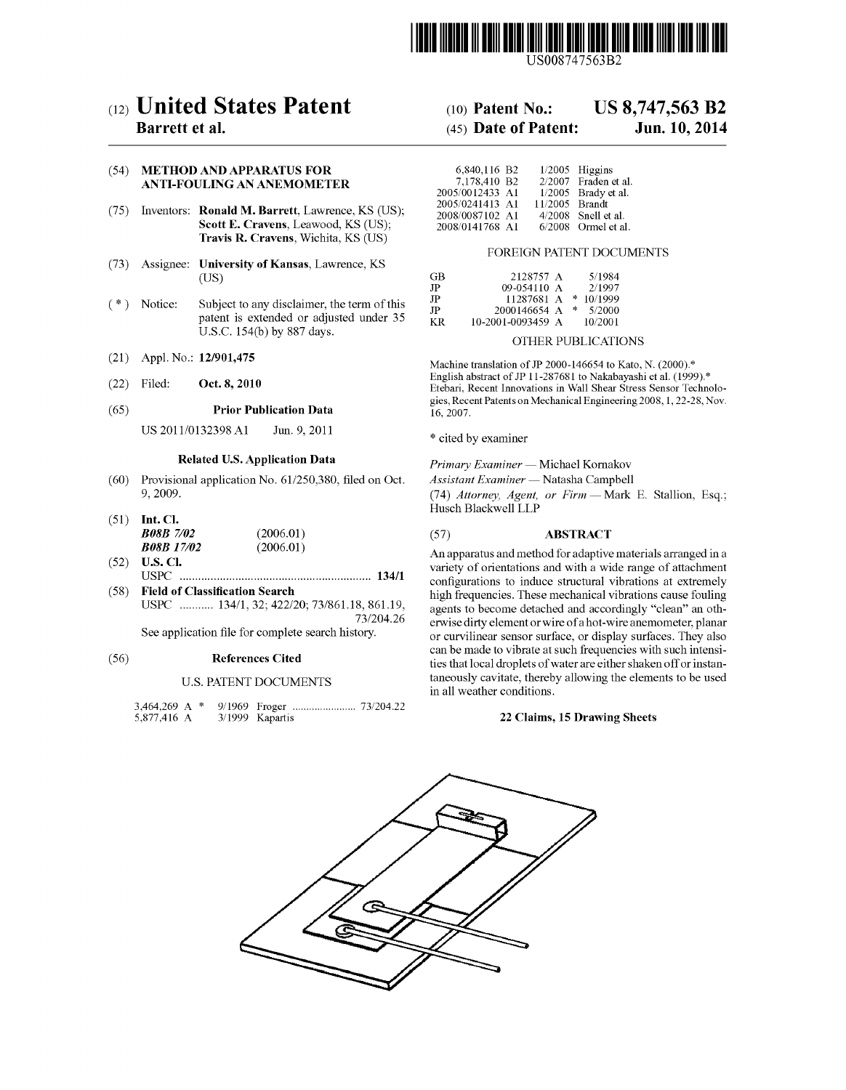

US008747563B2

# (12) United States Patent

# **Barrett et al.**

# (54) METHOD AND APPARATUS FOR **ANTI-FOULING AN ANEMOMETER**

- (75) Inventors: Ronald M. Barrett, Lawrence, KS (US); Scott E. Cravens, Leawood, KS (US); Travis R. Cravens, Wichita, KS (US)
- $(73)$ Assignee: University of Kansas, Lawrence, KS  $(US)$
- $(* )$  Notice: Subject to any disclaimer, the term of this patent is extended or adjusted under 35 U.S.C. 154(b) by 887 days.
- (21) Appl. No.: 12/901,475
- $(22)$  Filed: Oct. 8, 2010

#### $(65)$ **Prior Publication Data**

US 2011/0132398 A1 Jun. 9, 2011

#### **Related U.S. Application Data**

- $(60)$ Provisional application No. 61/250,380, filed on Oct. 9, 2009.
- $(51)$  Int. Cl. **B08B 7/02**  $(2006.01)$ **B08B 17/02**  $(2006.01)$
- $(52)$  U.S. Cl.
- (58) Field of Classification Search USPC ........... 134/1, 32; 422/20; 73/861.18, 861.19, 73/204.26

See application file for complete search history.

#### $(56)$ **References Cited**

#### **U.S. PATENT DOCUMENTS**

| 5,877,416 A | 3/1999 Kapartis |
|-------------|-----------------|

#### US 8,747,563 B2  $(10)$  Patent No.:

#### (45) Date of Patent: Jun. 10, 2014

| 6,840,116 B2    |                | $1/2005$ Higgins      |
|-----------------|----------------|-----------------------|
| 7.178.410 B2    |                | 2/2007 Fraden et al.  |
| 2005/0012433 A1 |                | $1/2005$ Brady et al. |
| 2005/0241413 A1 | 11/2005 Brandt |                       |
| 2008/0087102 A1 |                | $4/2008$ Snell et al. |
| 2008/0141768 A1 |                | $6/2008$ Ormel et al. |

#### FOREIGN PATENT DOCUMENTS

| GВ  | 2128757 A         |   | 5/1984  |
|-----|-------------------|---|---------|
| JP  | 09-054110 A       |   | 2/1997  |
| JP  | 11287681 A        | 啡 | 10/1999 |
| JP  | 2000146654 A      | 米 | 5/2000  |
| KR. | 10-2001-0093459 A |   | 10/2001 |

## OTHER PUBLICATIONS

Machine translation of JP 2000-146654 to Kato, N. (2000).\* English abstract of JP 11-287681 to Nakabayashi et al. (1999).\* Etebari, Recent Innovations in Wall Shear Stress Sensor Technologies, Recent Patents on Mechanical Engineering 2008, 1, 22-28, Nov. 16, 2007.

\* cited by examiner

Primary Examiner - Michael Kornakov

Assistant Examiner - Natasha Campbell

(74) Attorney, Agent, or Firm - Mark E. Stallion, Esq.; Husch Blackwell LLP

#### $(57)$ **ABSTRACT**

An apparatus and method for adaptive materials arranged in a variety of orientations and with a wide range of attachment configurations to induce structural vibrations at extremely high frequencies. These mechanical vibrations cause fouling agents to become detached and accordingly "clean" an otherwise dirty element or wire of a hot-wire anemometer, planar or curvilinear sensor surface, or display surfaces. They also can be made to vibrate at such frequencies with such intensities that local droplets of water are either shaken off or instantaneously cavitate, thereby allowing the elements to be used in all weather conditions.

#### 22 Claims, 15 Drawing Sheets

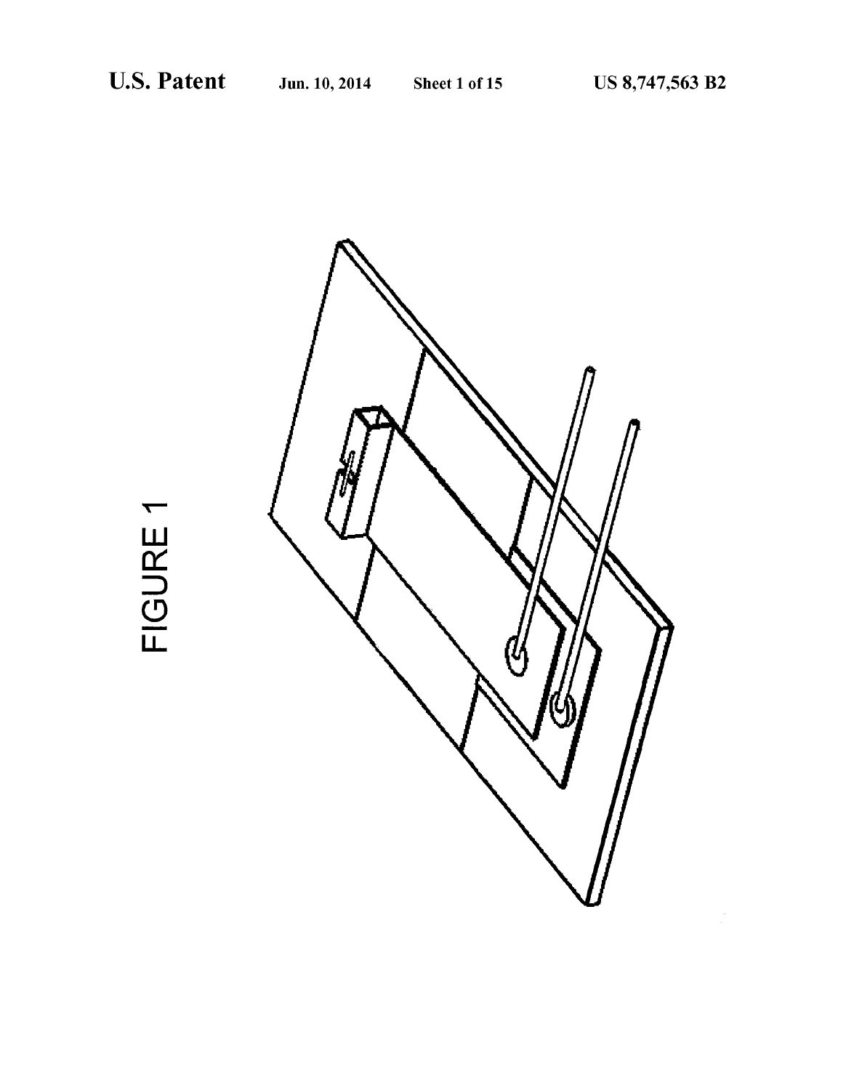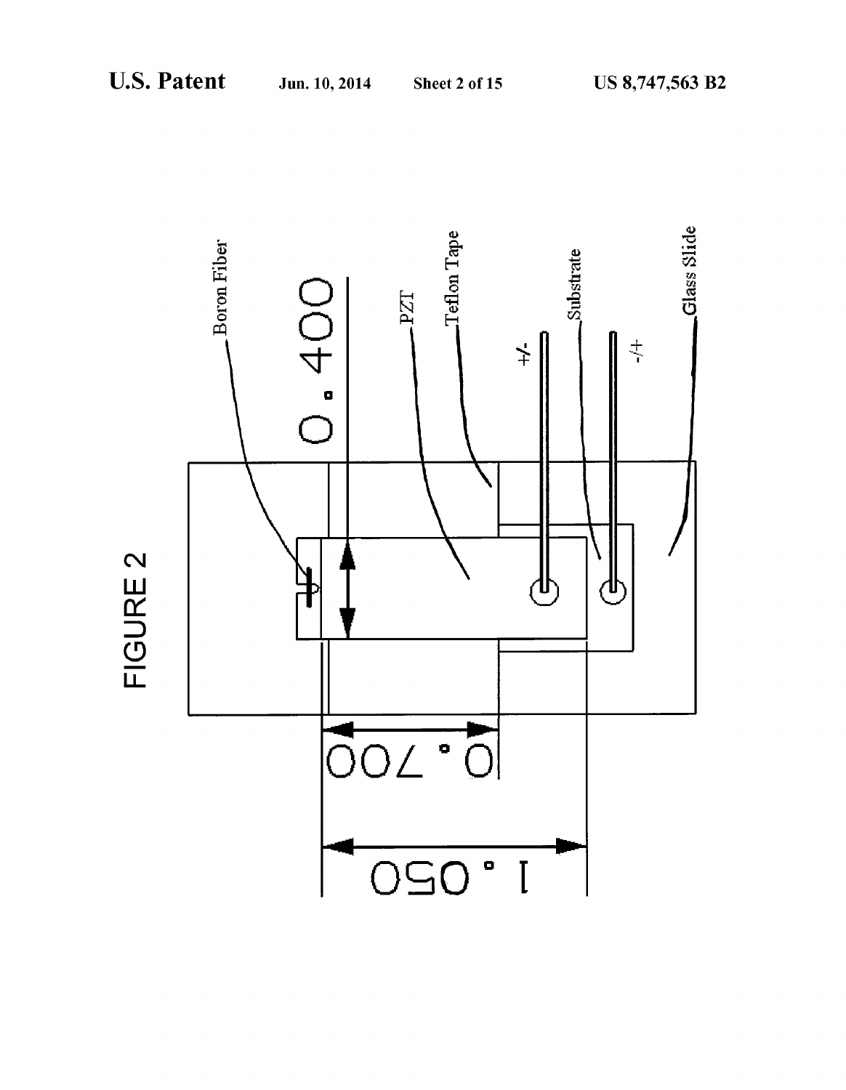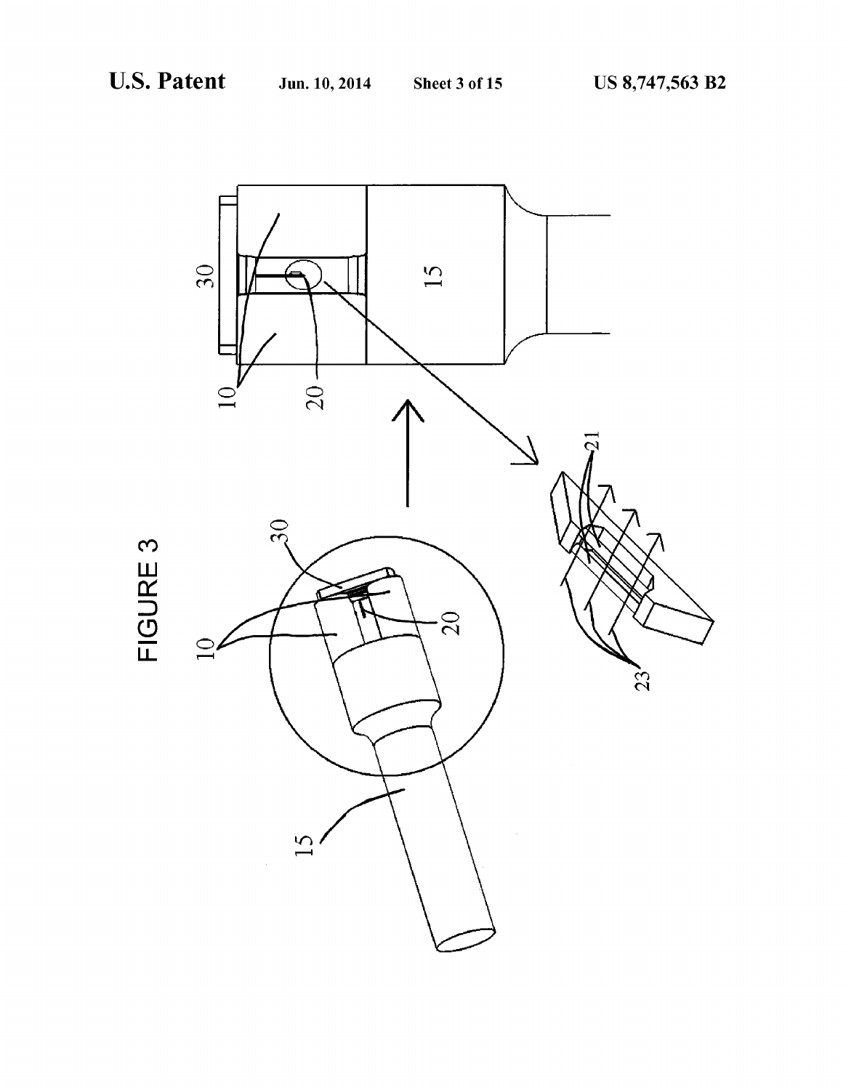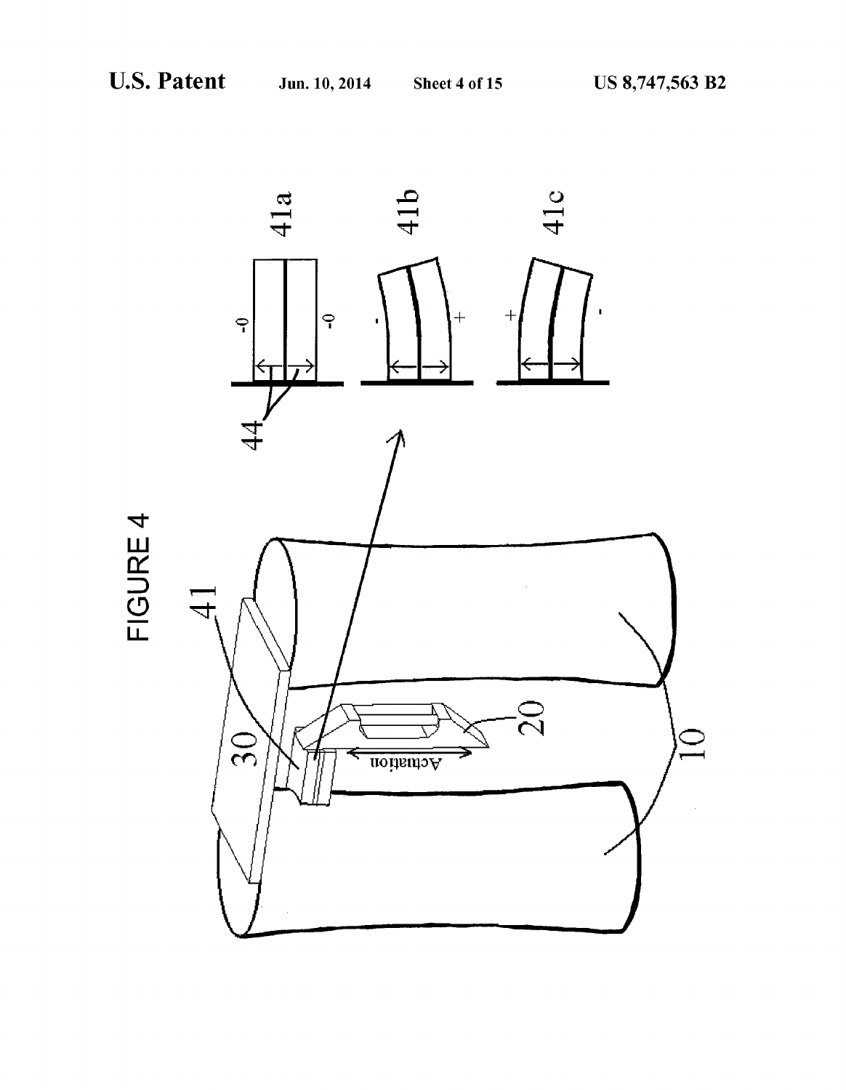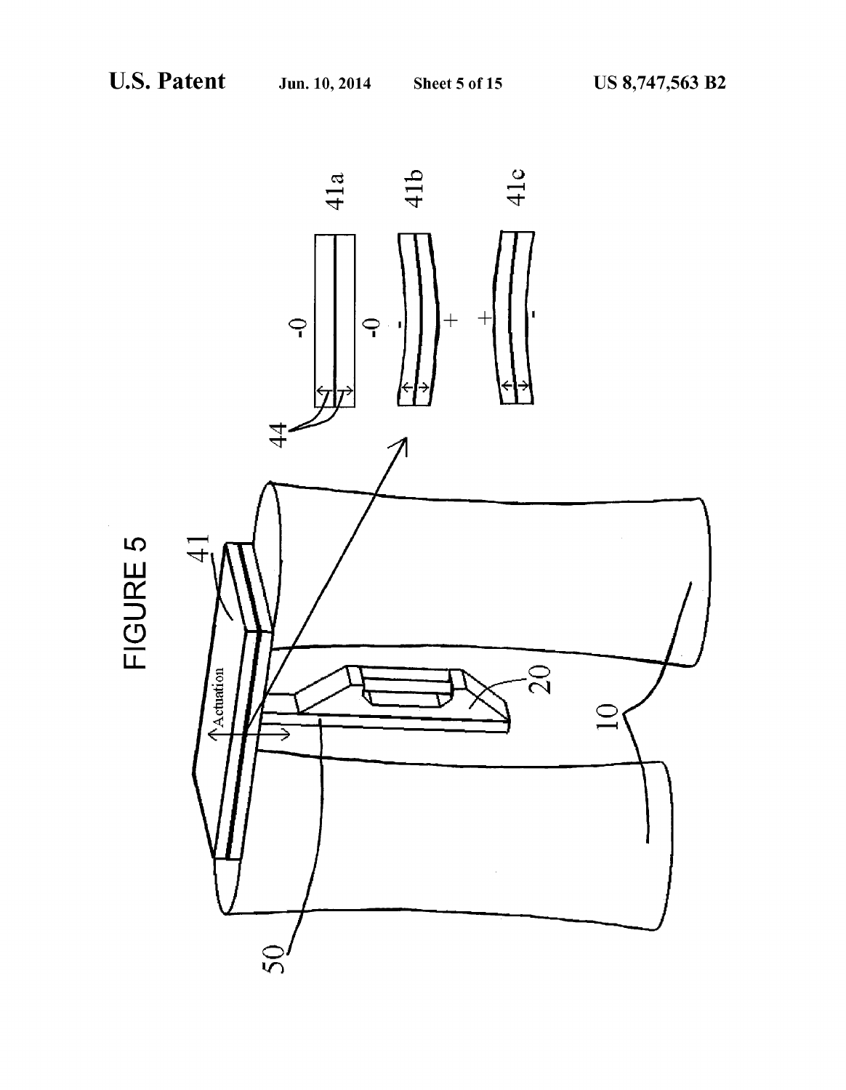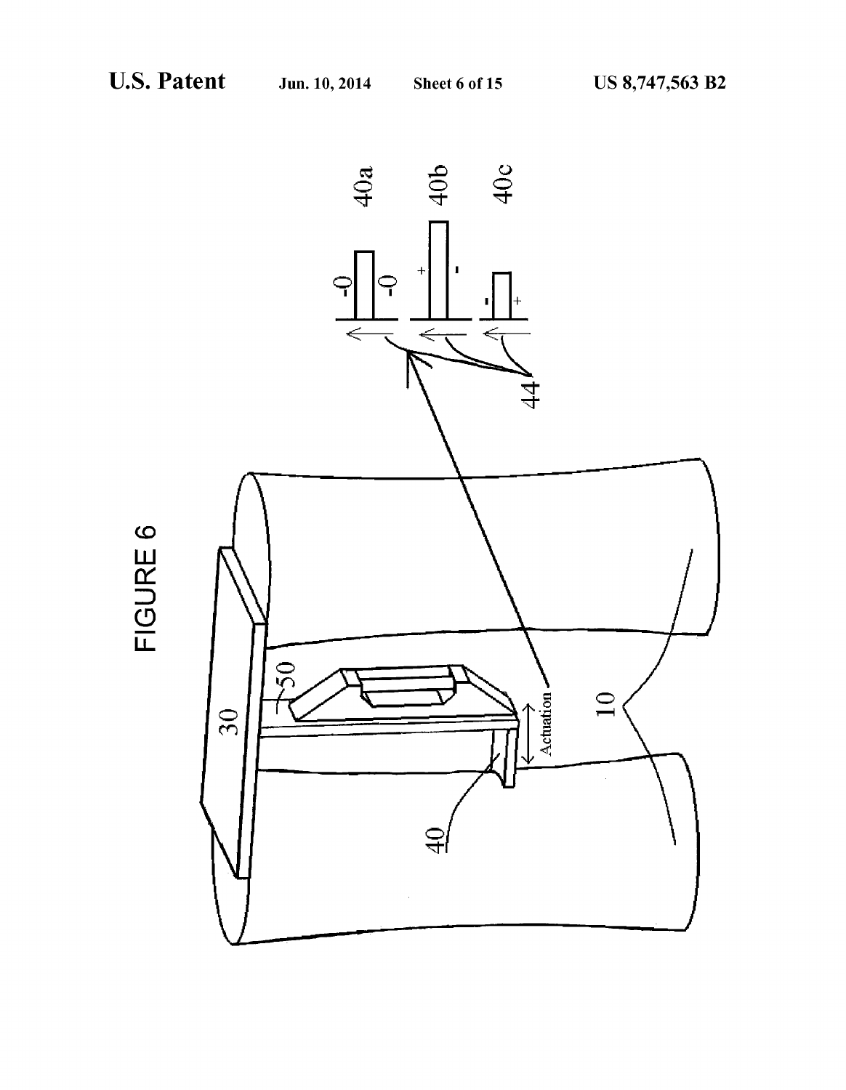

FIGURE 6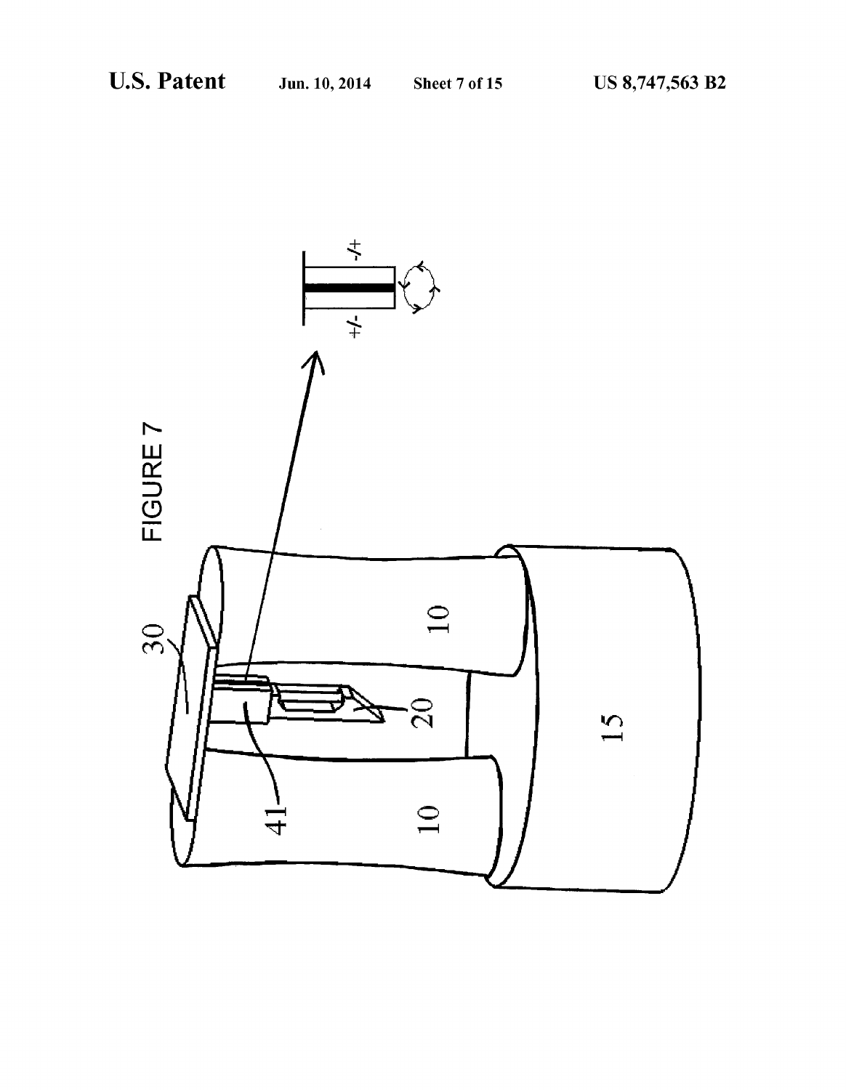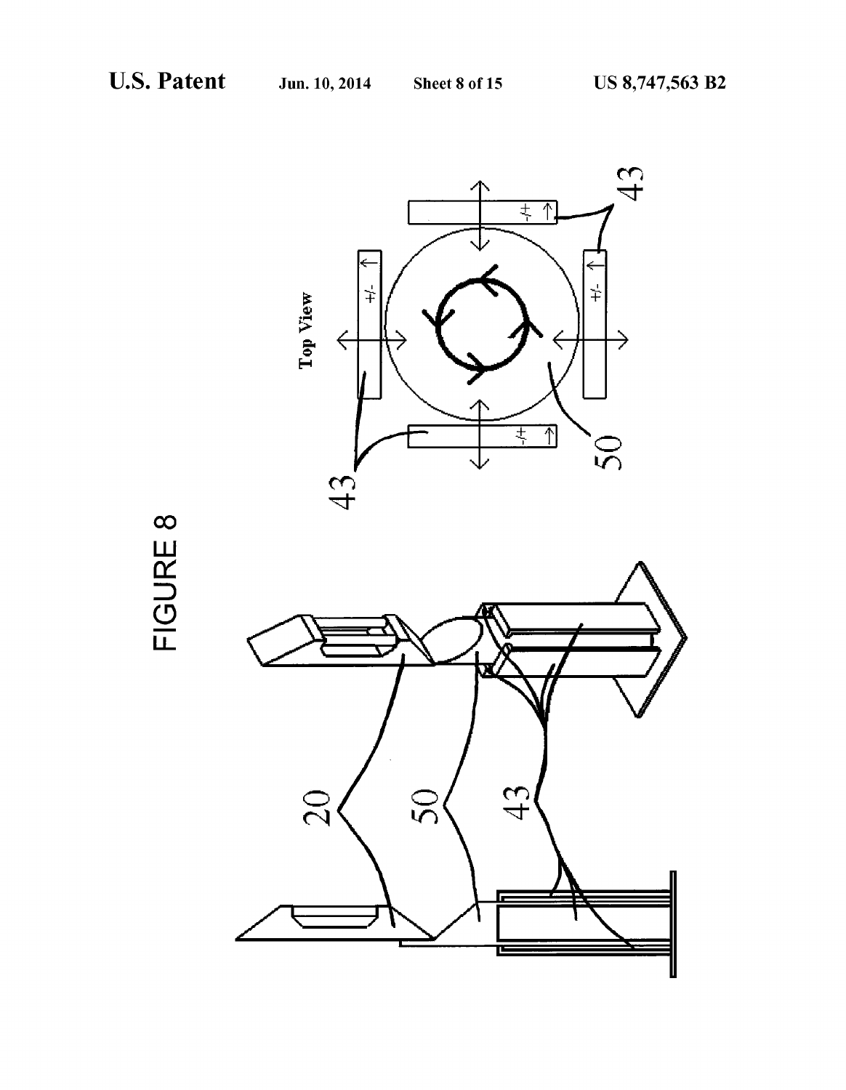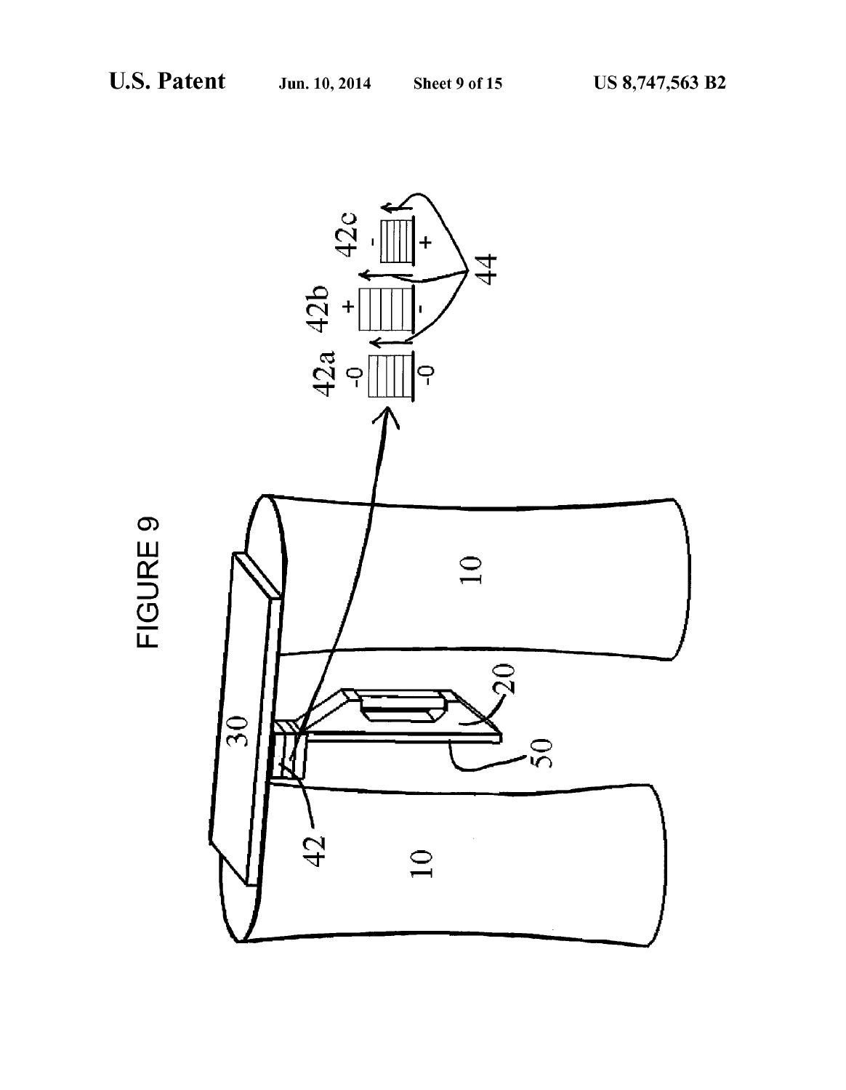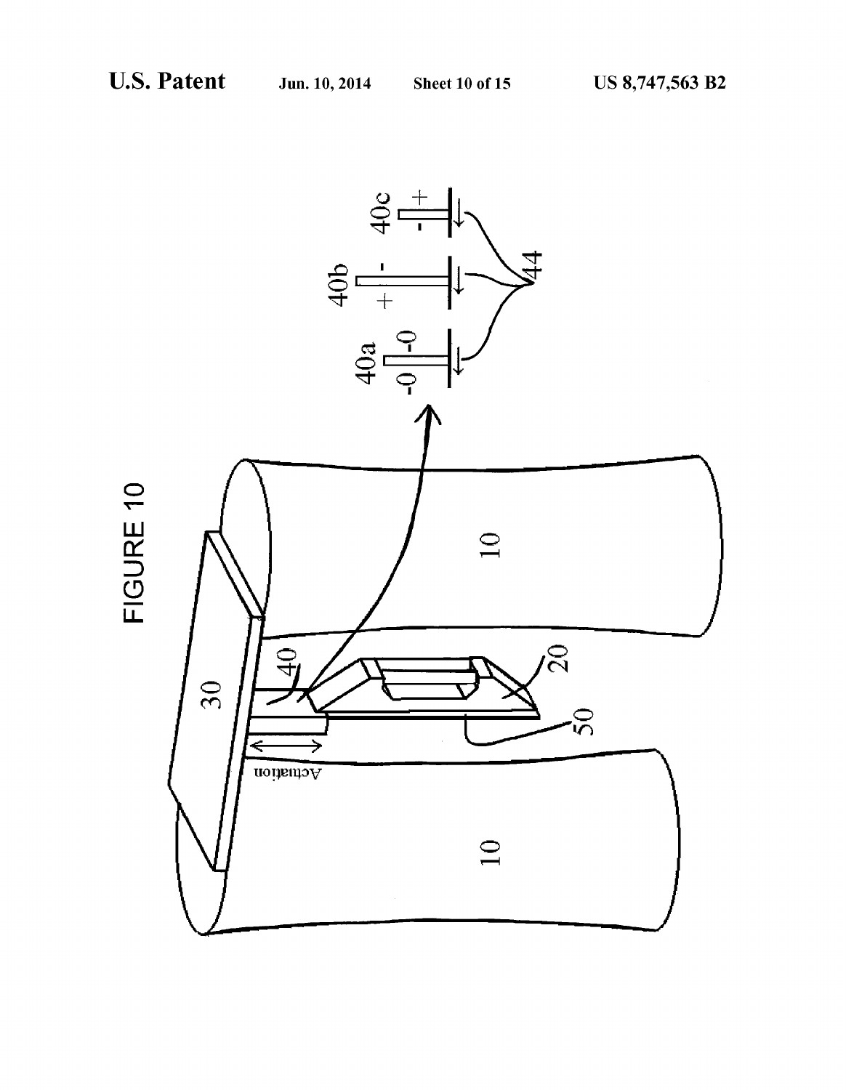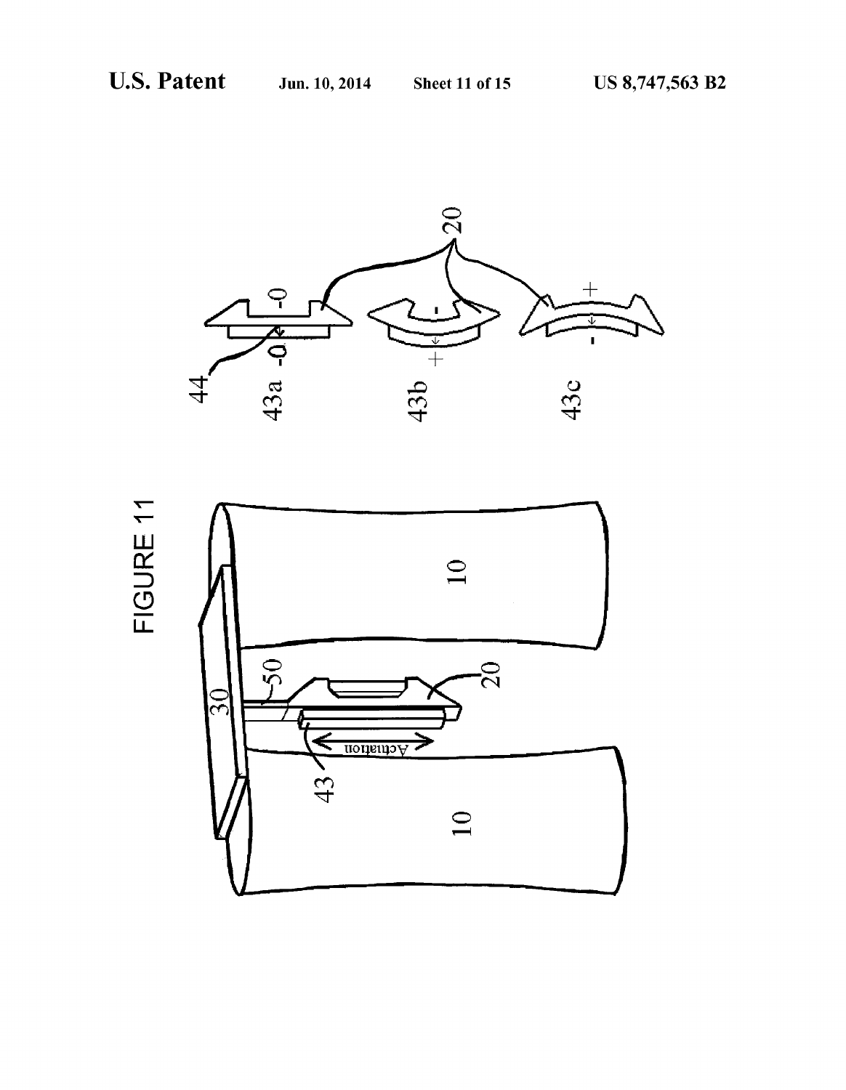

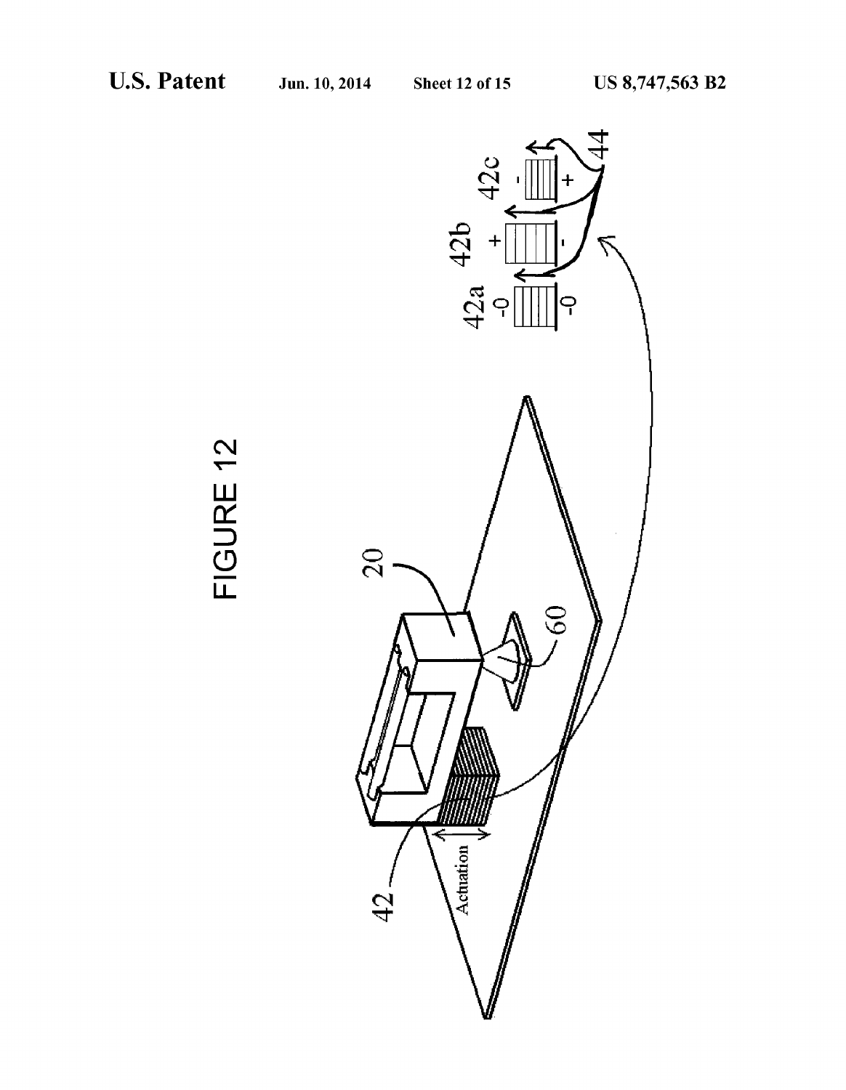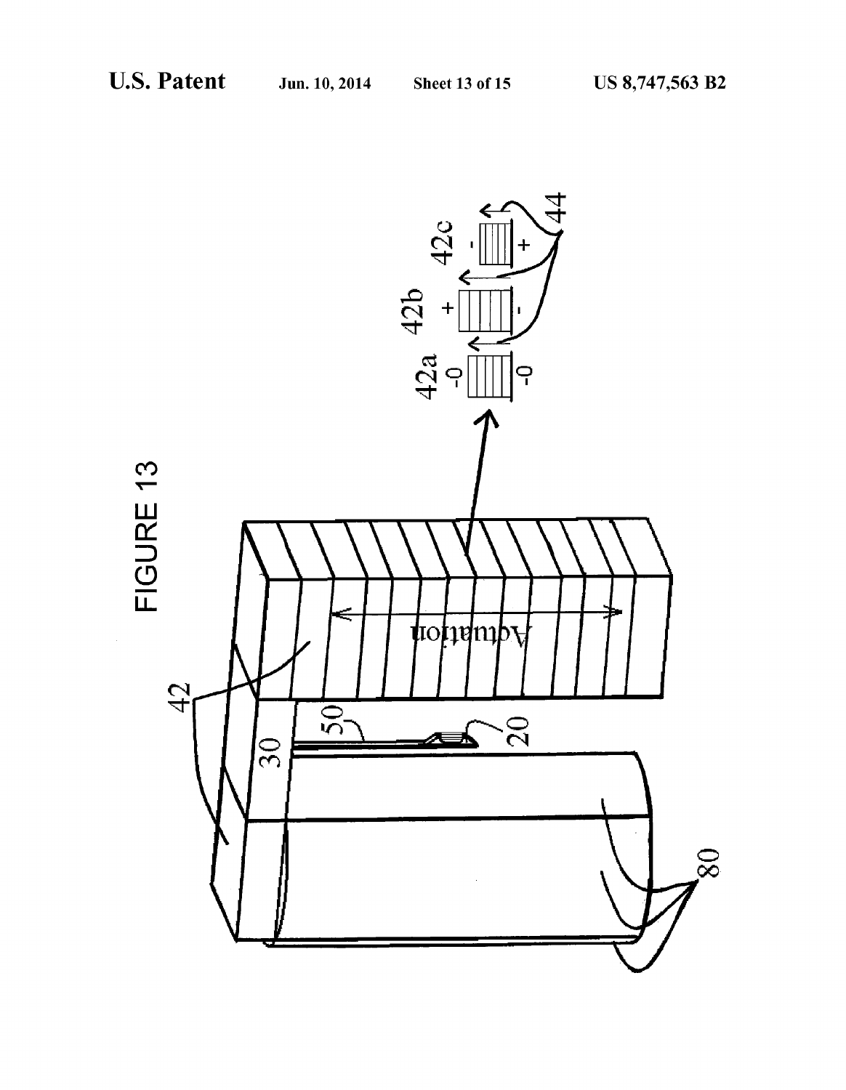![](_page_13_Figure_4.jpeg)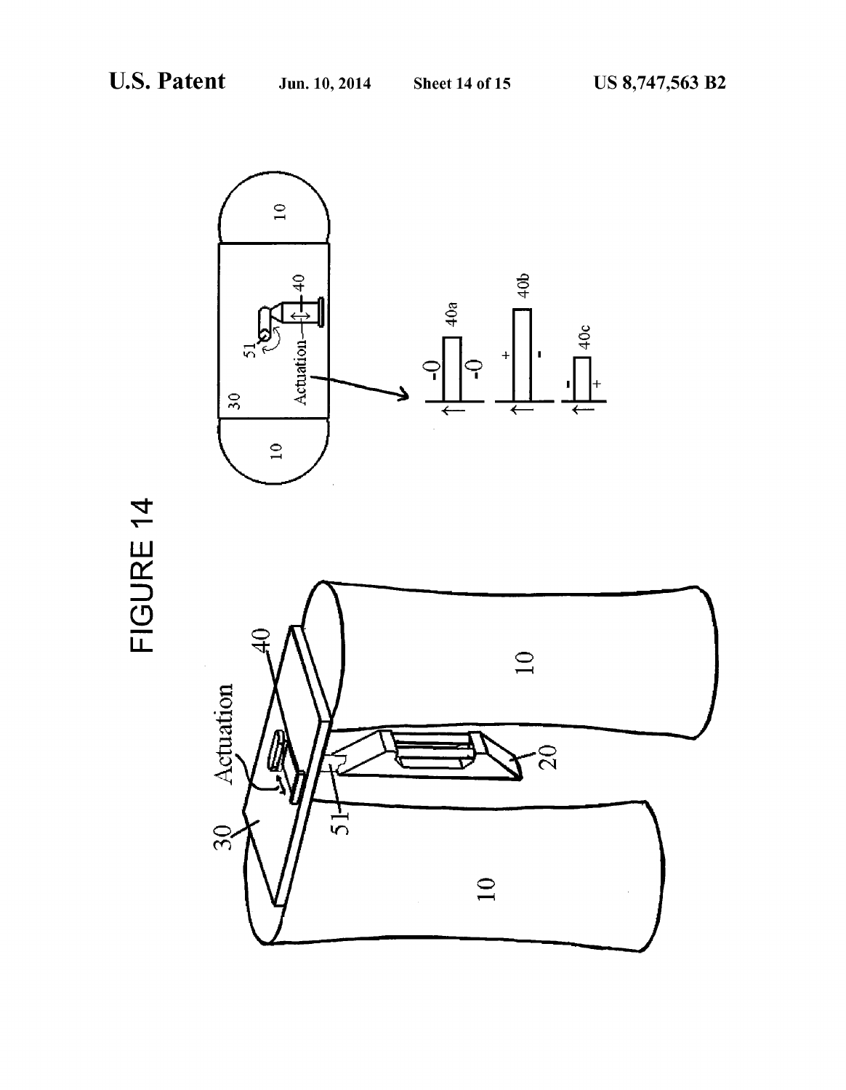![](_page_14_Figure_4.jpeg)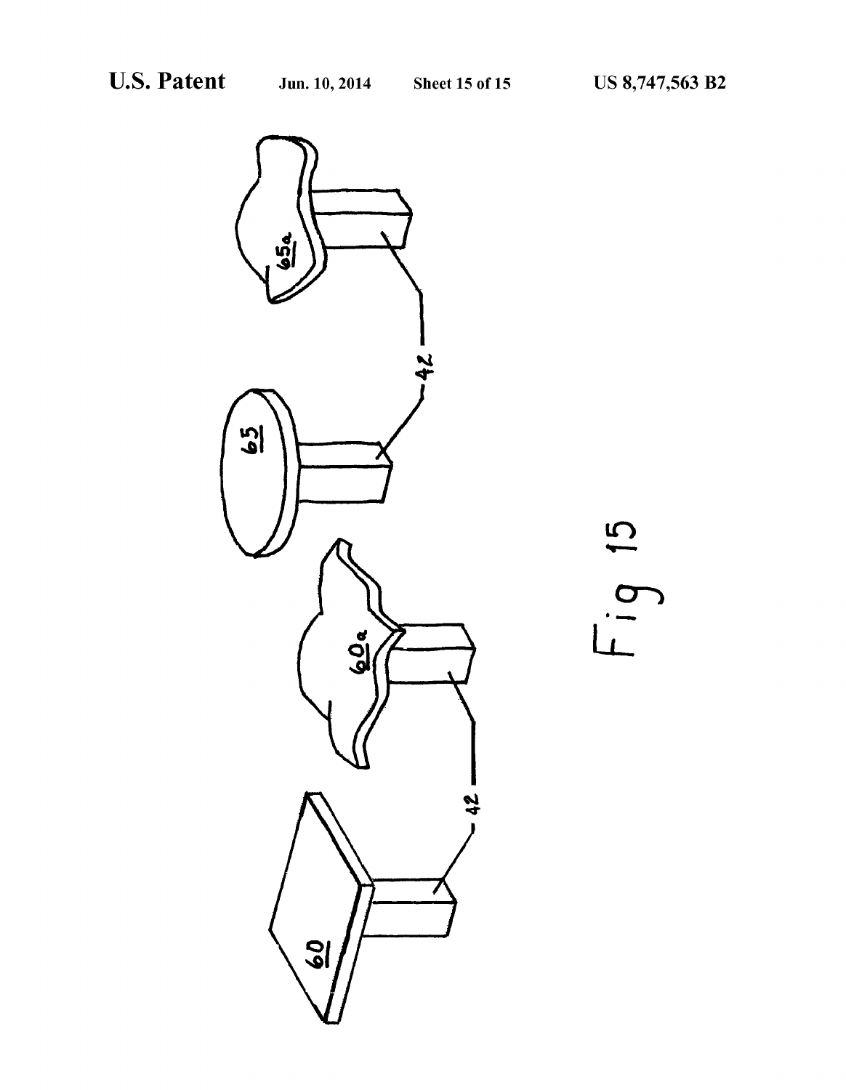![](_page_15_Picture_4.jpeg)

Fig 15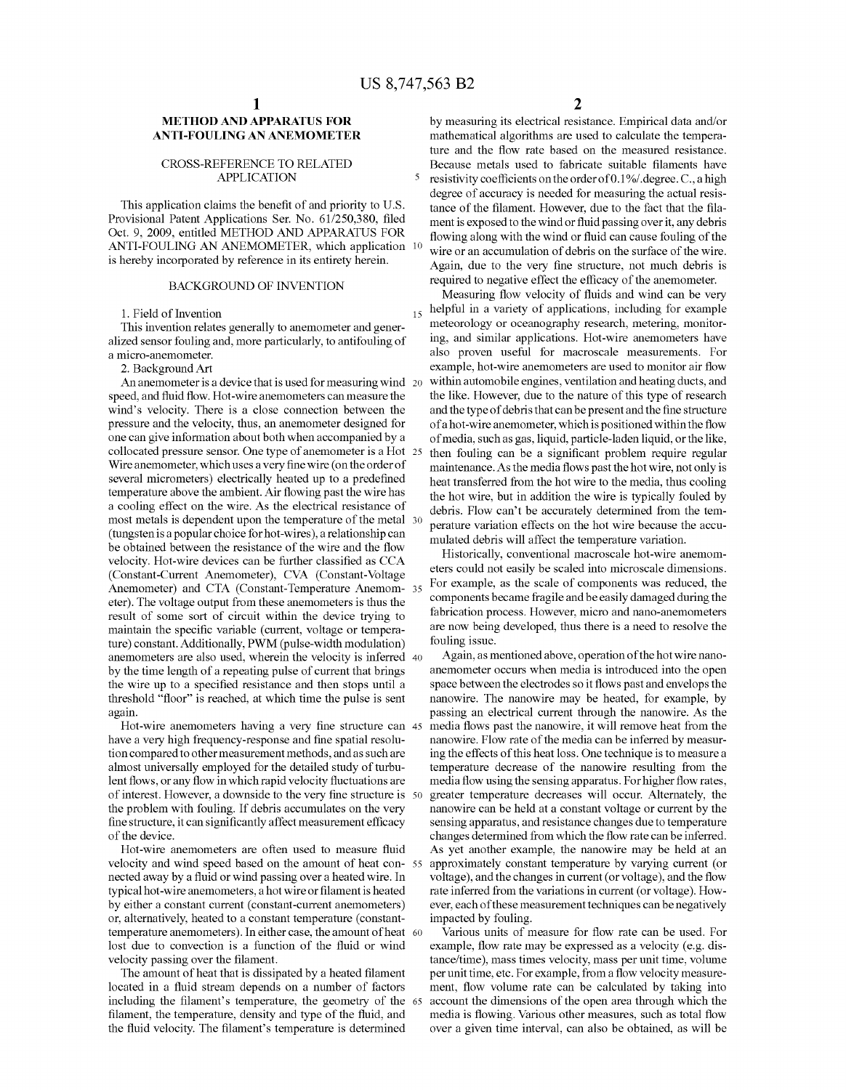15

# **METHOD AND APPARATUS FOR ANTI-FOULING AN ANEMOMETER**

#### **CROSS-REFERENCE TO RELATED APPLICATION**

This application claims the benefit of and priority to U.S. Provisional Patent Applications Ser. No. 61/250,380, filed Oct. 9, 2009, entitled METHOD AND APPARATUS FOR ANTI-FOULING AN ANEMOMETER, which application 10 is hereby incorporated by reference in its entirety herein.

#### **BACKGROUND OF INVENTION**

#### 1. Field of Invention

This invention relates generally to anemometer and generalized sensor fouling and, more particularly, to antifouling of a micro-anemometer.

#### 2. Background Art

An anemometer is a device that is used for measuring wind 20 speed, and fluid flow. Hot-wire anemometers can measure the wind's velocity. There is a close connection between the pressure and the velocity, thus, an anemometer designed for one can give information about both when accompanied by a collocated pressure sensor. One type of anemometer is a Hot 25 Wire anemometer, which uses a very fine wire (on the order of several micrometers) electrically heated up to a predefined temperature above the ambient. Air flowing past the wire has a cooling effect on the wire. As the electrical resistance of most metals is dependent upon the temperature of the metal 30 (tungsten is a popular choice for hot-wires), a relationship can be obtained between the resistance of the wire and the flow velocity. Hot-wire devices can be further classified as CCA (Constant-Current Anemometer), CVA (Constant-Voltage Anemometer) and CTA (Constant-Temperature Anemom- 35 eter). The voltage output from these anemometers is thus the result of some sort of circuit within the device trying to maintain the specific variable (current, voltage or temperature) constant. Additionally, PWM (pulse-width modulation) anemometers are also used, wherein the velocity is inferred 40 by the time length of a repeating pulse of current that brings the wire up to a specified resistance and then stops until a threshold "floor" is reached, at which time the pulse is sent again.

Hot-wire anemometers having a very fine structure can 45 have a very high frequency-response and fine spatial resolution compared to other measurement methods, and as such are almost universally employed for the detailed study of turbulent flows, or any flow in which rapid velocity fluctuations are of interest. However, a downside to the very fine structure is 50 the problem with fouling. If debris accumulates on the very fine structure, it can significantly affect measurement efficacy of the device.

Hot-wire anemometers are often used to measure fluid velocity and wind speed based on the amount of heat con-55 nected away by a fluid or wind passing over a heated wire. In typical hot-wire anemometers, a hot wire or filament is heated by either a constant current (constant-current anemometers) or, alternatively, heated to a constant temperature (constanttemperature anemometers). In either case, the amount of heat 60 lost due to convection is a function of the fluid or wind velocity passing over the filament.

The amount of heat that is dissipated by a heated filament located in a fluid stream depends on a number of factors including the filament's temperature, the geometry of the 65 filament, the temperature, density and type of the fluid, and the fluid velocity. The filament's temperature is determined

 $\mathbf{2}$ 

by measuring its electrical resistance. Empirical data and/or mathematical algorithms are used to calculate the temperature and the flow rate based on the measured resistance. Because metals used to fabricate suitable filaments have resistivity coefficients on the order of 0.1%/ degree. C., a high degree of accuracy is needed for measuring the actual resistance of the filament. However, due to the fact that the filament is exposed to the wind or fluid passing over it, any debris flowing along with the wind or fluid can cause fouling of the wire or an accumulation of debris on the surface of the wire. Again, due to the very fine structure, not much debris is required to negative effect the efficacy of the anemometer.

Measuring flow velocity of fluids and wind can be very helpful in a variety of applications, including for example meteorology or oceanography research, metering, monitoring, and similar applications. Hot-wire anemometers have also proven useful for macroscale measurements. For example, hot-wire anemometers are used to monitor air flow within automobile engines, ventilation and heating ducts, and the like. However, due to the nature of this type of research and the type of debris that can be present and the fine structure of a hot-wire anemometer, which is positioned within the flow of media, such as gas, liquid, particle-laden liquid, or the like, then fouling can be a significant problem require regular maintenance. As the media flows past the hot wire, not only is heat transferred from the hot wire to the media, thus cooling the hot wire, but in addition the wire is typically fouled by debris. Flow can't be accurately determined from the temperature variation effects on the hot wire because the accumulated debris will affect the temperature variation.

Historically, conventional macroscale hot-wire anemometers could not easily be scaled into microscale dimensions. For example, as the scale of components was reduced, the components became fragile and be easily damaged during the fabrication process. However, micro and nano-anemometers are now being developed, thus there is a need to resolve the fouling issue.

Again, as mentioned above, operation of the hot wire nanoanemometer occurs when media is introduced into the open space between the electrodes so it flows past and envelops the nanowire. The nanowire may be heated, for example, by passing an electrical current through the nanowire. As the media flows past the nanowire, it will remove heat from the nanowire. Flow rate of the media can be inferred by measuring the effects of this heat loss. One technique is to measure a temperature decrease of the nanowire resulting from the media flow using the sensing apparatus. For higher flow rates, greater temperature decreases will occur. Alternately, the nanowire can be held at a constant voltage or current by the sensing apparatus, and resistance changes due to temperature changes determined from which the flow rate can be inferred. As yet another example, the nanowire may be held at an approximately constant temperature by varying current (or voltage), and the changes in current (or voltage), and the flow rate inferred from the variations in current (or voltage). However, each of these measurement techniques can be negatively impacted by fouling.

Various units of measure for flow rate can be used. For example, flow rate may be expressed as a velocity (e.g. distance/time), mass times velocity, mass per unit time, volume per unit time, etc. For example, from a flow velocity measurement, flow volume rate can be calculated by taking into account the dimensions of the open area through which the media is flowing. Various other measures, such as total flow over a given time interval, can also be obtained, as will be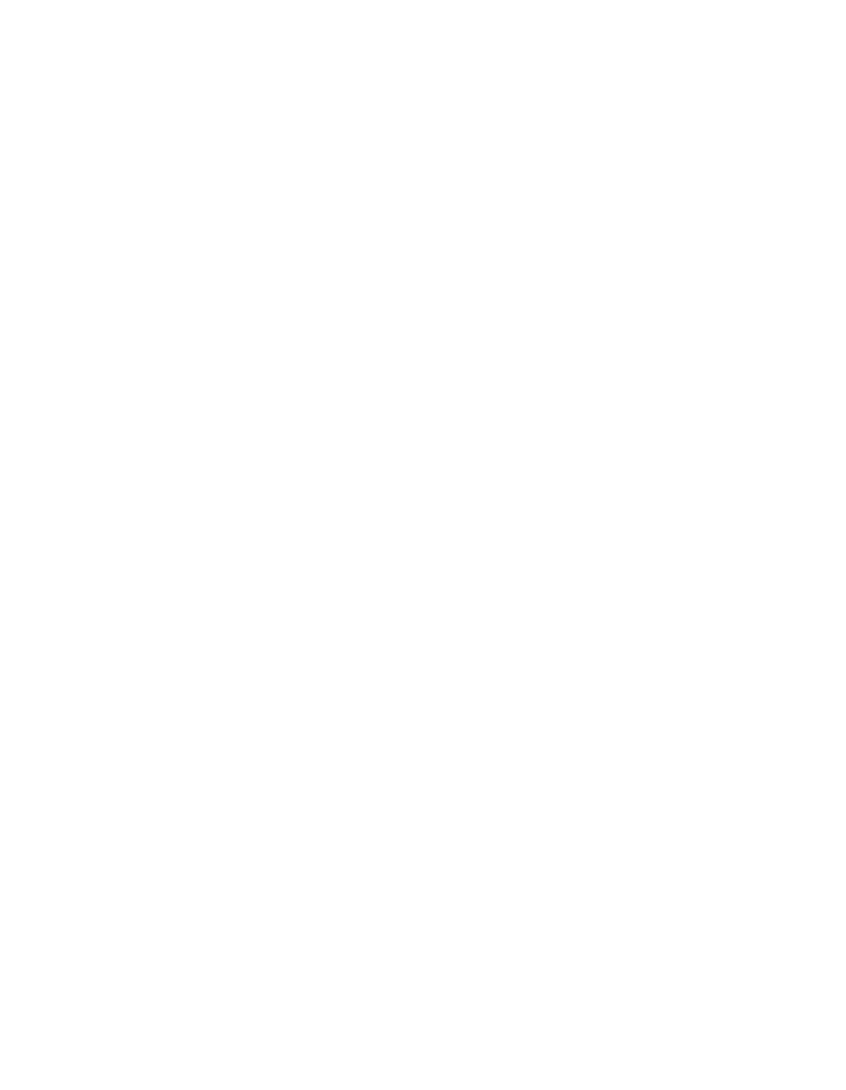$30$ 

appreciated. While high resolution measurements of flow rate or flow volume can be performed, coarse measurements can also be performed.

The nanowire can be a material for which the temperature of the nanowire affects an electrical property of the nanowire. For example, the nanowire can be formed from conductive material, semiconductor material, or doped semiconductor material. However, fouling can affect the conductivity characteristics of the wire. Various semiconductors can be used, including for example silicon, germanium, indium phosphide, other III-V compounds, II-VI compounds, etc. As a particular example, the resistance of silicon and silicon compounds can be strongly dependent upon temperature. Hence, the resistance of a silicon-containing nanowire can be measured to obtain information about the temperature of the 15 nanowire. The nanowire can be heated by applying a current flow through the nanowire. Cooling of the nanowire by the flowing media past the nanowire will cause a change in the resistance of the nanowire. However, in each of these scenarios the measurement accuracy is impacted by fouling.

In addition to adversely altering the performance of hotwire anemometers, other types of precision sensors are also adversely affected by atmospheric foulants. These sensors include microelectromechanical systems (MEMS) and mirrors which operate on many wavelengths. Foulants that form 25 or adhere to the surfaces of such sensors can significantly corrupt the signals. These foulants include all particulate matter from dust to mites, dirt, debris, mold, mold spores, water, water droplets, ice and even local water condensate.

#### BRIEF SUMMARY OF INVENTION

The invention is various embodiments of devices which are used to solve a significant fouling problem related to precision sensors including microanemometry. A family of 35 anemometers has come to the forefront, which use extremely thin wires. These "nanemometers" or "Acoustic Vector Sensors" are susceptible to atmospheric fouling from dust, dirt, debris and rain when used in the atmosphere. Underwater, they are susceptible to biological fouling from a variety of 40 microorganisms. The present invention uses adaptive materials arranged in a variety of orientations and with a wide range of attachment configurations to induce structural vibrations at extremely high frequencies. These mechanical vibrations cause fouling agents to become detached and accordingly 45 "clean" an otherwise dirty element or wire. They also can be made to vibrate at such frequencies with such intensities that local droplets of water are either shaken off or instantaneously cavitate, thereby allowing the elements to be used in all weather conditions. 50

There is no comparable technology as micro anemometry is a new class of devices. Similar piezoelectric devices use ultrasonic vibrations to clean a part that is immersed in a fluid via the process of sonication, but because this actively forces foulants away from a surface that is not immersed in a fluid 55 medium, it is completely new to the technical community. This invention is integrated into an existing family of devices and thereby improves the functionality of said device. The present invention has application for Directional Microphones, Anti-Sniper Systems, Submarine Acoustics, Surveil- 60 herein below. lance Systems, Studio Recordings, Ultra-Realistic Studio Acoustics, Aircraft anti-collision systems, ground vehicle anti-collision systems, uninhabited aerial vehicle guidance, navigation and control, nautical anti-collision systems, hearing aids, artificial ears, instantaneous flow sensors for all fluidics applications, homeland security, border patrol, border security, building security, military perimeter intrusion

detection, studio and set acoustics production, Some of the embodiments require miniaturization to a level which is challenging for the state of the art. This drives cost up. Most preferred embodiments, however, are quite simple and employ techniques which are quite simple.

One embodiment of the present invention is a method of anti-fouling a filament wire of a sensing device comprising the steps of providing a sensing device having an expose filament wire extending across a gap of support structure. The method can further provide an actuator member constructed of an adaptive material operable to induce an ultrasonic vibration when a charge, force or pressure is applied where said actuator member is arranged with an orientation operable to induce vibrations with a desired orientation. The method can further include attaching the actuator member in an optimal manner to the support structure operable to efficiently transfer the ultrasonic vibration to support structure and the filament wire. The method can further include the step of inducing structural vibrations at extremely high frequencies with the 20 actuator by applying a charge, force or pressure to the adaptive material.

The adaptive material can be a piezoelectric. The piezoelectric (PZT) component can be mounted on a substrate and electrically powered and attached to a mounting structure, which supports the filament. The PZT actuators can convert electrical signals like voltages or charges into mechanical displacements or forces. There is a special class of actuators, which is purposely driven at their resonant frequency, known as ultrasonic transducers. These transducers convert electrical energy into mechanical energy. PZT actuators can be axial actuators, transversal actuators, or flexural actuators. Axial and transversal actuators can have high stiffness and can be optimized for small movements and high forces. Flexural actuators (bimorphs) can be for applications where larger movements are required. Basic versions of the actuator can be an (a) axial actuator or a (b) transversal actuator.

Another embodiment can be a sensing system having an actuator for anti-fouling of the sensing system's filament wire comprising a hot-wire anemometer adapted for sensing fluid flow or wind speed, where said anemometer includes a support member having a gap across which an exposed filament wire extends where said filament wire is part of a sensing mechanism operable to sense fluid flow or wind speed. The system can include an actuator member constructed of an adaptive material operable to induce an ultrasonic vibration when a charge, force or pressure is applied where said actuator

member is arranged with an orientation operable to induce vibrations with a desired

orientation. The actuator member can be attached in an optimal manner to the support structure operable to efficiently transfer the ultra sonic vibration to the support structure and the filament wire. A charge, force, or pressure inducing mechanism can be operatively interfacing with the adaptive material of said actuator in order to apply a charge, force or pressure to induce the actuator to transmit an ultrasonic vibration. As indicated above the adaptive material can be a PZT.

These and other advantageous features of the present invention will be in part apparent and in part pointed out

#### BRIEF DESCRIPTION OF THE DRAWINGS

For a better understanding of the present invention, refer-65 ence may be made to the accompanying drawings in which: FIG. 1 is a perspective illustration of an actuator;

FIG. 2 is an illustration of an actuator with a boron fiber;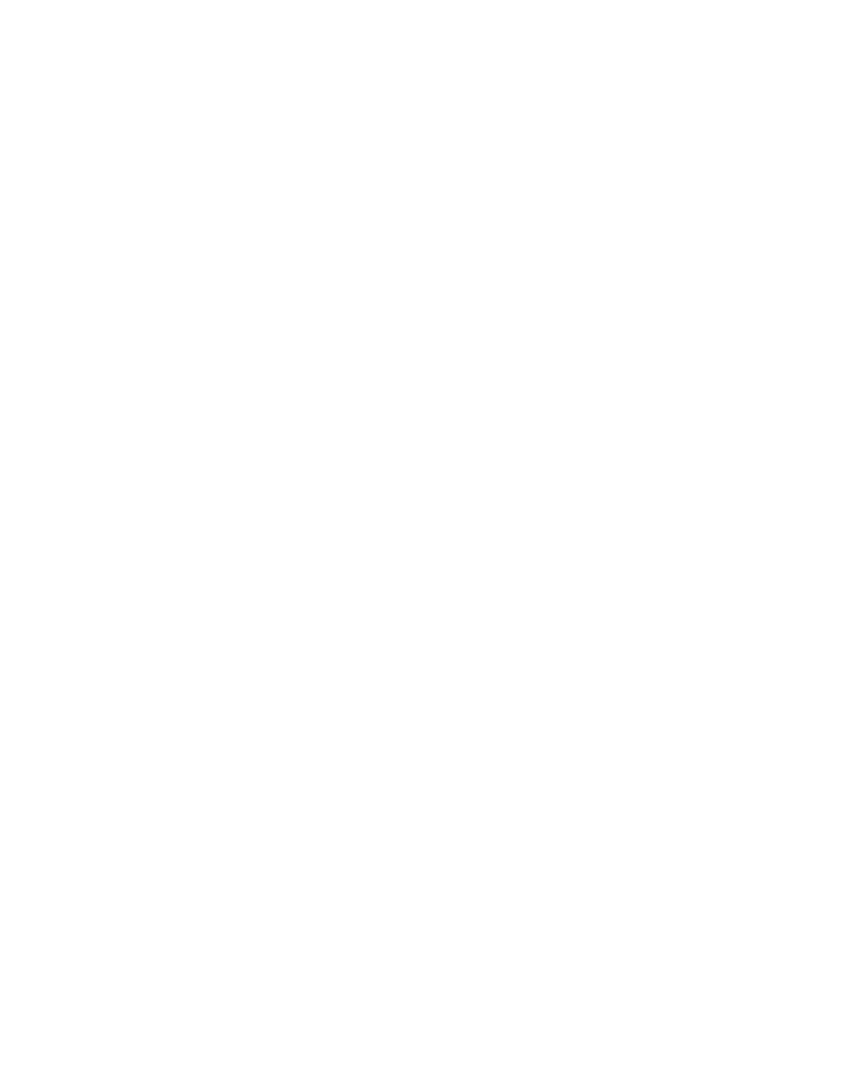FIG. 3 is an illustration of an element and a probe;

FIG. 4 is an illustration of a Bimorph Actuator in Probe Concept:

FIG. 5 is an illustration of a Plate Actuator in Probe Concept:

FIG. 6 is a Horizontal Linear Actuator in Probe Concept; FIG. 7 is an illustration of a Vertical Rotary Actuator Concept:

FIG. 8 is an illustration of a Circular Shaker Concept;

FIG. 9 is an illustration of a Vertical Stack Actuator in 10 Probe;

FIG. 10 is an illustration of a Vertical Linear Actuator in Probe:

FIG. 11 is an illustration of a Unimorph Element in Probe;

FIG. 12 is an illustration of a Stack Actuator and Pin 15 Supported Element:

FIG. 13 is an illustration of Stack Actuator Probe Posts; and

FIG. 14 is an illustration of a Torque Tube Actuation.

FIG. 15 is an illustration of a pair of planar sensors with stack actuator

While the invention is susceptible to various modifications and alternative forms, specific embodiments thereof are shown by way of example in the drawings and will herein be described in detail. It should be understood, however, that the drawings and detailed description presented herein are not 25 intended to limit the invention to the particular embodiment disclosed, but on the contrary, the intention is to cover all modifications, equivalents, and alternatives falling within the spirit and scope of the present invention as defined by the appended claims.  $30$ 

## DETAILED DESCRIPTION OF INVENTION

According to the embodiment(s) of the present invention, various views are illustrated in FIG. 1-15 and like reference 35 numerals are being used consistently throughout to refer to like and corresponding parts of the invention for all of the various views and figures of the drawing.

One embodiment of the present invention comprising adaptive materials arranged in a variety of orientations and 40 with a wide range of attachment configurations to induce structural vibrations at extremely high frequencies, whereby these mechanical vibrations cause fouling agents to become detached and accordingly "clean" an otherwise dirty element or wire of a hot-wire anemometer. They also can be made to 45 vibrate at such frequencies with such intensities that local droplets of water are either shaken off or instantaneously cavitate, thereby allowing the elements to be used in all weather conditions, which teaches a novel apparatus and method for anti-fouling an anemometer or other form of 50 either linear or planar sensor element.

The details of the invention and various embodiments can be better understood by referring to the figures of the drawing. Referring to FIG. 1 an illustration of an actuator is shown. A piezoelectric (PZT) component is mounted on a substrate and 55 electrically powered and attached to a mounting structure, which supports the boron filament. PZT actuators convert electrical signals like voltages or charges into mechanical displacements or forces. It should be noted that although piezoelectric actuators are specifically called out in this docu- 60 ment, other actuator elements can be used, including electrostrictive and/or magnetostrictive actuators which convert electric or magnetic fields to mechanical strains. The operating frequency range of actuators is from static up to many multiples of the first resonant frequency of the mechanical sys-65 tem. Ideally, nested resonant frequencies are used so as to prevent the formation of static nodes which could retain fou6

lants because they do not move very much. As for sensors, a reasonably linear relationship between input signal and movement is required. There is a special class of actuators, which is purposely driven at their resonant frequency, known as ultrasonic transducers. These transducers convert electrical energy into mechanical energy. PZT actuators can be axial actuators, transversal actuators, or flexural actuators. Axial and transversal actuators can have high stiffness and can be optimized for small movements and high forces. Flexural actuators (bimorphs) can be for applications where larger movements are required. If a voltage is applied to an actuator there will be a displacement. When this displacement is blocked, a force will develop, the so-called blocking force, which is, in fact, a measure of the stiffness of the actuator gives a survey the possible stroke-blocking force combinations. Attainable strokes and blocking forces for parallel bimorph elements and high power actuators. Basic versions of actuators are (a) axial actuator; (b) transversal actuator where the resonant frequency for the free element with w and 20  $1 \leq h$  Resonant frequency when one end is attached to a base.

One embodiment of the present invention is an apparatus for anti-fouling a sensing device comprising a sensing device having a sensing member extending across a gap between first and second portions of a support structure and said first and second opposing ends of said sensing member are attached to first and second portions of the support structure respectively. Refer to FIG. 3 for an illustration of this configuration. An actuator member, not shown in FIG. 3 can be constructed of an adaptive material operable to induce an ultrasonic vibration when selectively actuated by applying an input necessary to actuate the adaptive material where said actuator member is arranged with an orientation adapted to induce vibrations with a desired orientation, and where the actuator member is optimally attached to the support structure operable to efficiently transfer an the ultra sonic vibration to the support structure and thereby to the sensing member. Refer to FIGS. 1 and 2 for a representative illustration of an actuator interface to a support member. Again, referring to FIGS. 1 and 2, an energy source adapted to provide the input necessary to actuate the adaptive material can be utilized, such as for example a voltage potential energy source.

The sensing member can be that of an exposed filament wire of a hot-wire anemometer adapted for sensing fluid flow or wind speed. The actuator member can be an elongated actuator strip having a fixed end attached on a substrate, for example with a conductive epoxy, and an opposing actuation end attached to the support structure. A more specific embodiment would be where the elongated actuator strip is a piezoelectric strip adapted to cause axial actuation along its length and the exposed filament wire can be sub-micron sized and oriented laterally with respect to axial actuation. The elongated actuator strip can also be an actuator selected from the group of actuators consisting of an electro-restrictive actuator and a magneto-restrictive actuator.

An electrical voltage source having a voltage input can be applied between the piezoelectric and ground operable to induce axial actuation. The sensing member can also be a sensing member selected from the group of sensing members consisting of a lens, a boron nano-wire, and an acoustic sensor

Alternatively the actuator member can be an elongated flexural bimorph actuator where a fixed end of the flexural bimorph actuator can be attached to a post structure, as illustrated in FIG. 4, and extending lengthwise there from to a distal actuation end of the flexural bimorph actuator, where the support structure is attached to the distal actuation end proximate said first portion of the support structure. Again an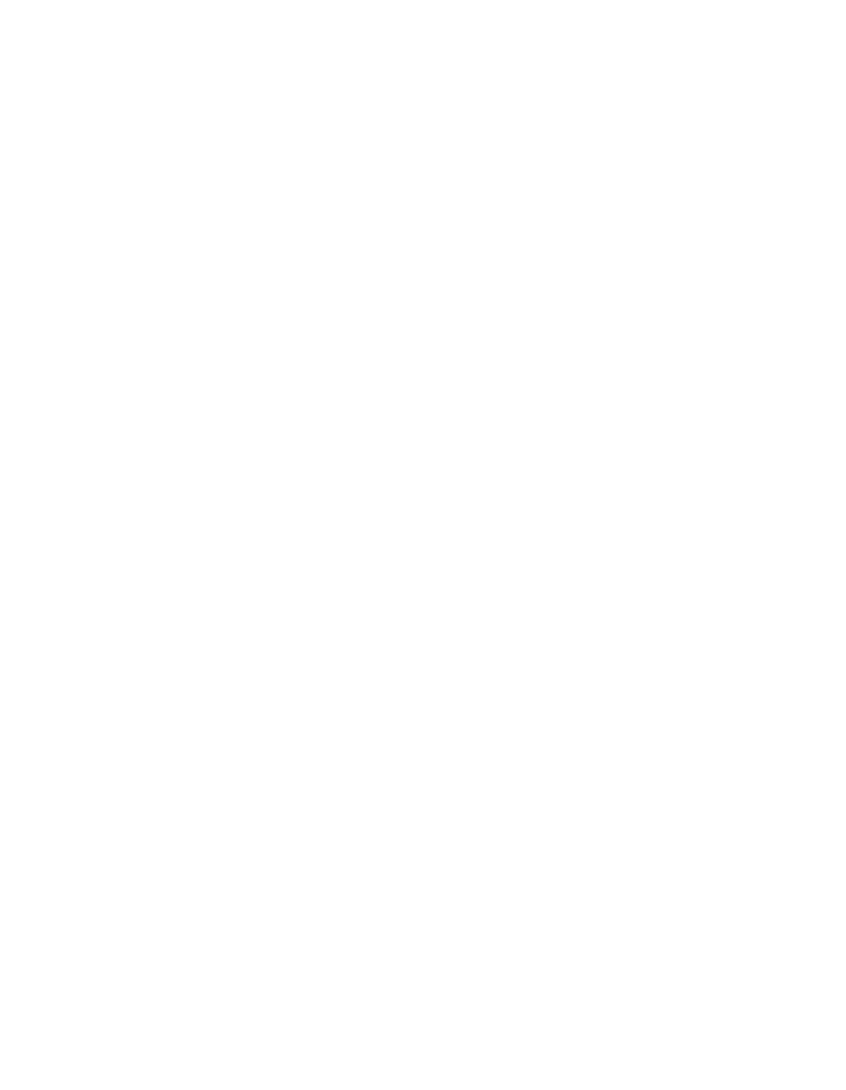electrical voltage source having a voltage input can apply a voltage input between the piezoelectric and ground operable to induce flexural actuation.

The sensing member can also be a sensing member selected from the group of sensing members consisting of a lens, a boron nano-wire, and an acoustic sensor. The actuator member can also be an actuator selected from the group of actuator members consisting of a charge induced adaptive material actuator, a force induced adaptive material actuator and a pressure induced adaptive material actuator. An actuation energy source can be adapted with an actuation input selected from the group of actuation inputs consisting of a charge input, a force input and a pressure input.

Another embodiment of the invention can be actuator for antifouling a display device comprising an actuator member constructed of an adaptive material operable to induce an ultrasonic vibration when an energy input is applied. The energy input can be a charge input, a force input or a pressure input. The actuator member again can be arranged with an  $_{20}$ orientation operable to induce vibrations with a desired orientation.

The actuator member can be attached in an optimal manner to a support structure operable to efficiently transfer an the ultra sonic vibration to the support structure and a display 25 device force or pressure to induce the actuator to transmit the ultrasonic vibration.

For example an actuator can be constructed using a 0.01 inch thick PZT strip, an aluminum substrate, and a brass extrusion. The substrate can be attached to the bottom side of one end of the PZT strip using a conductive attaching means like a conducting epoxy. A brass extrusion can be attached to the other end of the PZT strip using an attachment means such as an epoxy as shown in FIG. 1.

Referring to FIG. 2, an illustration of an actuator with a sub-micron sized sensor filament is shown. The device has a substrate with a ground plate attached thereon. A voltage is applied between the PZT strip and ground. The PZT strip can be attached to brass extrusion having a small cut made in the 40 to the vertical support. The stack actuator undergoes deflecbrass extrusion and the boron fiber attached in the space such that a clean section of fiber is spanning the cut as shown in FIG. 2. The piezoelectric (PZT) component can be mounted on a substrate and electrically powered such that actuation is induced at the end of the PZT strip attached to a mounting 45 structure, which supports the boron filament. PZT actuators convert the electrical signals like voltages or charges into mechanical displacements or forces.

Referring to FIG. 3, a preferred embodiment of the element in a probe is shown. The probe arm [15] extends into an air 50 stream, and the probe posts/fairings [10] direct the flow [23] so that it is in line with the probe wires [21]. The element  $[20]$ is supported from the top by a cross member [30]. FIG. 3 displays a base configuration without the proposed shaker device for cleaning the wires [21].

FIG. 4 shows a bimorph actuator concept. The actuator [41] would extend from one of the probe posts [10] and shake the element  $[20]$  in the manner shown in the Figure. The poling direction [44] determines the direction that the actuator deflects for an applied voltage as shown in the Figure [41 $a$ , 60  $41b, 41c$ ]. For this concept, the crossmember [30] can be non-structural and the element is supported entirely by the actuator.

FIG. 5 shows a plate actuator [40] which shakes the element  $[20]$  in the manner shown in the Figure. The element is 65 placed between the probe posts [10] and is supported by a vertical member [50]. The actuator consists of two sheets of

PZT with the poling direction [44] as shown. When an electrical field is applied the actuator will deflect as shown  $[41a,$  $41b.41c1$ 

FIG. 6 shows a horizontally oriented linear actuator [40] which is attached to the bottom of the element [20]. The actuator produces deflections as shown [40a, 40b, 40c] and is positioned so that the element is shaken in the manner shown in the Figure. The deflections are dependant on the poling direction [44] and the applied electric field. The element is suspended below the crossmember [30] which spans the probe posts [10] and is supported by a vertical member [50].

FIG. 7 shows a concept which utilizes a vertical rotary actuator. The actuator is constructed in the same manner as a bimorph bending actuator, but two separate signals are sent to the two individual PZT layers. The signals are sine waves and are 90 degrees out of phase. These signals result in a tip displacement that follows an elliptical path as shown in the Figure. The element  $[20]$  is supported by the actuator  $[41]$ which is oriented vertically as shown. The actuator could be rotated 90 degrees so that the tip displacement would be in plane with the probe posts  $[10]$  which are mounted on the probe arm [15] instead of being in plane with the element wires as shown. The actuator is fixed at one end by the crossmember [30] which spans the two probe posts.

FIG. 8 shows a whirl or circular shaker concept with the element [20] mounted on the end. This concept can scale to a size that could vibrate the entire probe assembly as well. The rotary shaker consists of four unimorph bending elements [43], although bimorph elements could be used, which are driven with a sinusoidal signal. The vertical elements shown in the top view are driven in unison and the horizontal elements are driven 90 degrees out of phase of the vertical elements. This action causes a circular motion of the vertical support [50] which is hinged at its base so that the element 35 will travel through the circular tip deflection path, but not spin on its axis.

FIG. 9 shows a stack actuator [42] oriented vertically. A vertical support

is attached to the actuator and the element  $[20]$  is attached tions [42*a*, 42*b*, 42*c*] which are dependant on the poling direction [44] of the layers and the applied electric field. The actuator is attached at its top to a horizontal crossmember [30] which connects the two probe posts [10].

FIG. 10 shows a linear actuator  $[40]$  oriented so that its displacement [40*a*, 40*b*, 40*c*] is vertical as shown. The displacement is dependant on the poling direction [44] of the PZT and the applied electric field. A vertical support [50] is attached to the actuator and the element [20] is attached to this support. The actuator is attached to a cross member [30] at one end and the cross member is supported by the probe posts [10] on either end.

FIG. 11 shows an element [20] with a PZT strip mounted to its back. This configuration acts like a unimorph bending actuator when activated. The deflection, which is dependant on the poling direction [44], of the element [43a, 43b, 43c] is as shown in the Figure and has been exaggerated for clarity. The element is attached to the crossmember  $[30]$  by a vertical support [50]. The crossmember is supported at either end by the probe posts  $[10]$ .

FIG. 12 shows a single element [20] that is supported by a stack actuator  $[42]$  and a pin connection  $[60]$ . The stack undergoes deflections [42a, 42b, 42c] which move one end of the element vertically while the other end is allowed to rotate about the pin connection with zero displacement. The displacement of the actuator is dependant on the poling direction [44] of the layers and the applied electric field.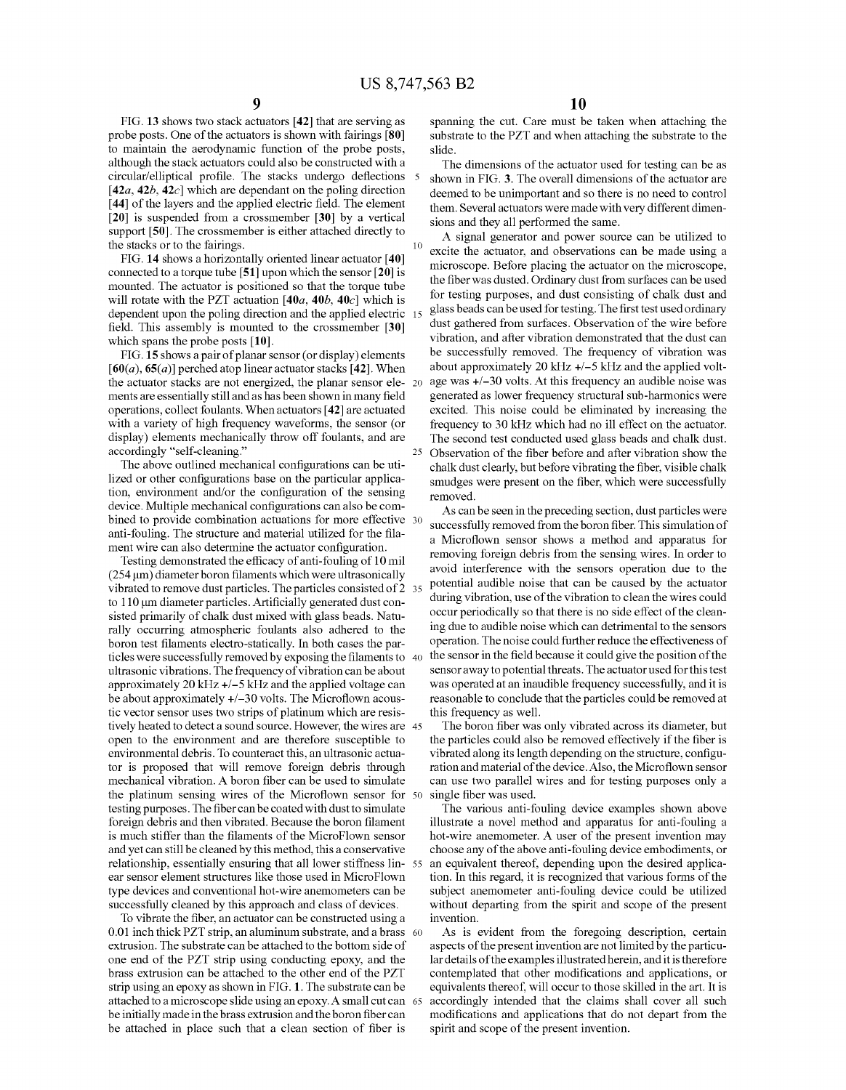removed.

FIG. 13 shows two stack actuators [42] that are serving as probe posts. One of the actuators is shown with fairings [80] to maintain the aerodynamic function of the probe posts, although the stack actuators could also be constructed with a circular/elliptical profile. The stacks undergo deflections [42a, 42b, 42c] which are dependant on the poling direction [44] of the layers and the applied electric field. The element  $[20]$  is suspended from a crossmember  $[30]$  by a vertical support [50]. The crossmember is either attached directly to the stacks or to the fairings.  $10$ 

FIG. 14 shows a horizontally oriented linear actuator [40] connected to a torque tube [51] upon which the sensor [20] is mounted. The actuator is positioned so that the torque tube will rotate with the PZT actuation  $[40a, 40b, 40c]$  which is dependent upon the poling direction and the applied electric 1 field. This assembly is mounted to the crossmember [30] which spans the probe posts [10].

FIG. 15 shows a pair of planar sensor (or display) elements  $[60(a), 65(a)]$  perched atop linear actuator stacks [42]. When the actuator stacks are not energized, the planar sensor ele- 20 ments are essentially still and as has been shown in many field operations, collect foulants. When actuators [42] are actuated with a variety of high frequency waveforms, the sensor (or display) elements mechanically throw off foulants, and are accordingly "self-cleaning."

The above outlined mechanical configurations can be utilized or other configurations base on the particular application, environment and/or the configuration of the sensing device. Multiple mechanical configurations can also be combined to provide combination actuations for more effective 30 anti-fouling. The structure and material utilized for the filament wire can also determine the actuator configuration.

Testing demonstrated the efficacy of anti-fouling of 10 mil  $(254 \,\mu m)$  diameter boron filaments which were ultrasonically vibrated to remove dust particles. The particles consisted of 2 35 to 110 μm diameter particles. Artificially generated dust consisted primarily of chalk dust mixed with glass beads. Naturally occurring atmospheric foulants also adhered to the boron test filaments electro-statically. In both cases the particles were successfully removed by exposing the filaments to 40 ultrasonic vibrations. The frequency of vibration can be about approximately 20 kHz +/-5 kHz and the applied voltage can be about approximately  $+/-30$  volts. The Microflown acoustic vector sensor uses two strips of platinum which are resistively heated to detect a sound source. However, the wires are 45 open to the environment and are therefore susceptible to environmental debris. To counteract this, an ultrasonic actuator is proposed that will remove foreign debris through mechanical vibration. A boron fiber can be used to simulate the platinum sensing wires of the Microflown sensor for 50 testing purposes. The fiber can be coated with dust to simulate foreign debris and then vibrated. Because the boron filament is much stiffer than the filaments of the MicroFlown sensor and yet can still be cleaned by this method, this a conservative relationship, essentially ensuring that all lower stiffness lin-55 ear sensor element structures like those used in MicroFlown type devices and conventional hot-wire anemometers can be successfully cleaned by this approach and class of devices.

To vibrate the fiber, an actuator can be constructed using a 0.01 inch thick PZT strip, an aluminum substrate, and a brass 60 extrusion. The substrate can be attached to the bottom side of one end of the PZT strip using conducting epoxy, and the brass extrusion can be attached to the other end of the PZT strip using an epoxy as shown in FIG. 1. The substrate can be attached to a microscope slide using an epoxy. A small cut can 65 be initially made in the brass extrusion and the boron fiber can be attached in place such that a clean section of fiber is

spanning the cut. Care must be taken when attaching the substrate to the PZT and when attaching the substrate to the slide.

The dimensions of the actuator used for testing can be as shown in FIG. 3. The overall dimensions of the actuator are deemed to be unimportant and so there is no need to control them. Several actuators were made with very different dimensions and they all performed the same.

A signal generator and power source can be utilized to excite the actuator, and observations can be made using a microscope. Before placing the actuator on the microscope, the fiber was dusted. Ordinary dust from surfaces can be used for testing purposes, and dust consisting of chalk dust and glass beads can be used for testing. The first test used ordinary dust gathered from surfaces. Observation of the wire before vibration, and after vibration demonstrated that the dust can be successfully removed. The frequency of vibration was about approximately 20 kHz  $+/-5$  kHz and the applied voltage was  $\pm$ /-30 volts. At this frequency an audible noise was generated as lower frequency structural sub-harmonics were excited. This noise could be eliminated by increasing the frequency to 30 kHz which had no ill effect on the actuator. The second test conducted used glass beads and chalk dust. Observation of the fiber before and after vibration show the chalk dust clearly, but before vibrating the fiber, visible chalk smudges were present on the fiber, which were successfully

As can be seen in the preceding section, dust particles were successfully removed from the boron fiber. This simulation of a Microflown sensor shows a method and apparatus for removing foreign debris from the sensing wires. In order to avoid interference with the sensors operation due to the potential audible noise that can be caused by the actuator during vibration, use of the vibration to clean the wires could occur periodically so that there is no side effect of the cleaning due to audible noise which can detrimental to the sensors operation. The noise could further reduce the effectiveness of the sensor in the field because it could give the position of the sensor away to potential threats. The actuator used for this test was operated at an inaudible frequency successfully, and it is reasonable to conclude that the particles could be removed at this frequency as well.

The boron fiber was only vibrated across its diameter, but the particles could also be removed effectively if the fiber is vibrated along its length depending on the structure, configuration and material of the device. Also, the Microflown sensor can use two parallel wires and for testing purposes only a single fiber was used.

The various anti-fouling device examples shown above illustrate a novel method and apparatus for anti-fouling a hot-wire anemometer. A user of the present invention may choose any of the above anti-fouling device embodiments, or an equivalent thereof, depending upon the desired application. In this regard, it is recognized that various forms of the subject anemometer anti-fouling device could be utilized without departing from the spirit and scope of the present invention.

As is evident from the foregoing description, certain aspects of the present invention are not limited by the particular details of the examples illustrated herein, and it is therefore contemplated that other modifications and applications, or equivalents thereof, will occur to those skilled in the art. It is accordingly intended that the claims shall cover all such modifications and applications that do not depart from the spirit and scope of the present invention.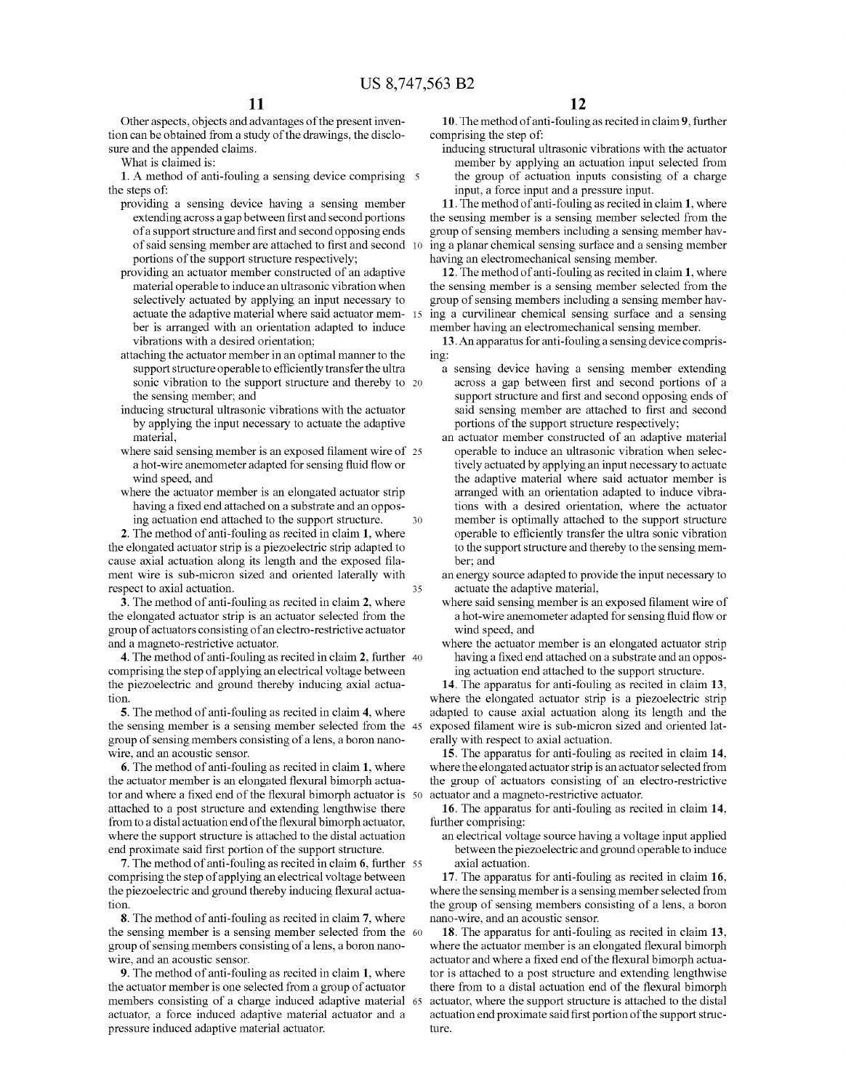Other aspects, objects and advantages of the present invention can be obtained from a study of the drawings, the disclosure and the appended claims.

What is claimed is:

1. A method of anti-fouling a sensing device comprising 5 the steps of:

- providing a sensing device having a sensing member extending across a gap between first and second portions of a support structure and first and second opposing ends of said sensing member are attached to first and second 10 portions of the support structure respectively;
- providing an actuator member constructed of an adaptive material operable to induce an ultrasonic vibration when selectively actuated by applying an input necessary to actuate the adaptive material where said actuator mem-15 ber is arranged with an orientation adapted to induce vibrations with a desired orientation;
- attaching the actuator member in an optimal manner to the support structure operable to efficiently transfer the ultra sonic vibration to the support structure and thereby to 20 the sensing member; and
- inducing structural ultrasonic vibrations with the actuator by applying the input necessary to actuate the adaptive material.
- where said sensing member is an exposed filament wire of 25 a hot-wire anemometer adapted for sensing fluid flow or wind speed, and
- where the actuator member is an elongated actuator strip having a fixed end attached on a substrate and an opposing actuation end attached to the support structure.  $30$

2. The method of anti-fouling as recited in claim 1, where the elongated actuator strip is a piezoelectric strip adapted to cause axial actuation along its length and the exposed filament wire is sub-micron sized and oriented laterally with respect to axial actuation.

3. The method of anti-fouling as recited in claim 2, where the elongated actuator strip is an actuator selected from the group of actuators consisting of an electro-restrictive actuator and a magneto-restrictive actuator.

4. The method of anti-fouling as recited in claim 2, further 40 comprising the step of applying an electrical voltage between the piezoelectric and ground thereby inducing axial actuation.

5. The method of anti-fouling as recited in claim 4, where the sensing member is a sensing member selected from the 45 group of sensing members consisting of a lens, a boron nanowire, and an acoustic sensor.

6. The method of anti-fouling as recited in claim 1, where the actuator member is an elongated flexural bimorph actuator and where a fixed end of the flexural bimorph actuator is 50 attached to a post structure and extending lengthwise there from to a distal actuation end of the flexural bimorph actuator, where the support structure is attached to the distal actuation end proximate said first portion of the support structure.

7. The method of anti-fouling as recited in claim 6, further 55 comprising the step of applying an electrical voltage between the piezoelectric and ground thereby inducing flexural actuation

8. The method of anti-fouling as recited in claim 7, where the sensing member is a sensing member selected from the 60 group of sensing members consisting of a lens, a boron nanowire, and an acoustic sensor.

9. The method of anti-fouling as recited in claim 1, where the actuator member is one selected from a group of actuator members consisting of a charge induced adaptive material actuator, a force induced adaptive material actuator and a pressure induced adaptive material actuator.

10. The method of anti-fouling as recited in claim 9, further comprising the step of:

inducing structural ultrasonic vibrations with the actuator member by applying an actuation input selected from the group of actuation inputs consisting of a charge input, a force input and a pressure input.

11. The method of anti-fouling as recited in claim 1, where the sensing member is a sensing member selected from the group of sensing members including a sensing member having a planar chemical sensing surface and a sensing member having an electromechanical sensing member.

12. The method of anti-fouling as recited in claim 1, where the sensing member is a sensing member selected from the group of sensing members including a sensing member having a curvilinear chemical sensing surface and a sensing member having an electromechanical sensing member.

13. An apparatus for anti-fouling a sensing device comprising:

- a sensing device having a sensing member extending across a gap between first and second portions of a support structure and first and second opposing ends of said sensing member are attached to first and second portions of the support structure respectively;
- an actuator member constructed of an adaptive material operable to induce an ultrasonic vibration when selectively actuated by applying an input necessary to actuate the adaptive material where said actuator member is arranged with an orientation adapted to induce vibrations with a desired orientation, where the actuator member is optimally attached to the support structure operable to efficiently transfer the ultra sonic vibration to the support structure and thereby to the sensing member; and
- an energy source adapted to provide the input necessary to actuate the adaptive material,
- where said sensing member is an exposed filament wire of a hot-wire anemometer adapted for sensing fluid flow or wind speed, and
- where the actuator member is an elongated actuator strip having a fixed end attached on a substrate and an opposing actuation end attached to the support structure.

14. The apparatus for anti-fouling as recited in claim 13, where the elongated actuator strip is a piezoelectric strip adapted to cause axial actuation along its length and the exposed filament wire is sub-micron sized and oriented laterally with respect to axial actuation.

15. The apparatus for anti-fouling as recited in claim 14, where the elongated actuator strip is an actuator selected from the group of actuators consisting of an electro-restrictive actuator and a magneto-restrictive actuator.

16. The apparatus for anti-fouling as recited in claim 14, further comprising:

an electrical voltage source having a voltage input applied between the piezoelectric and ground operable to induce axial actuation.

17. The apparatus for anti-fouling as recited in claim 16, where the sensing member is a sensing member selected from the group of sensing members consisting of a lens, a boron nano-wire, and an acoustic sensor.

18. The apparatus for anti-fouling as recited in claim 13, where the actuator member is an elongated flexural bimorph actuator and where a fixed end of the flexural bimorph actuator is attached to a post structure and extending lengthwise there from to a distal actuation end of the flexural bimorph actuator, where the support structure is attached to the distal actuation end proximate said first portion of the support structure.